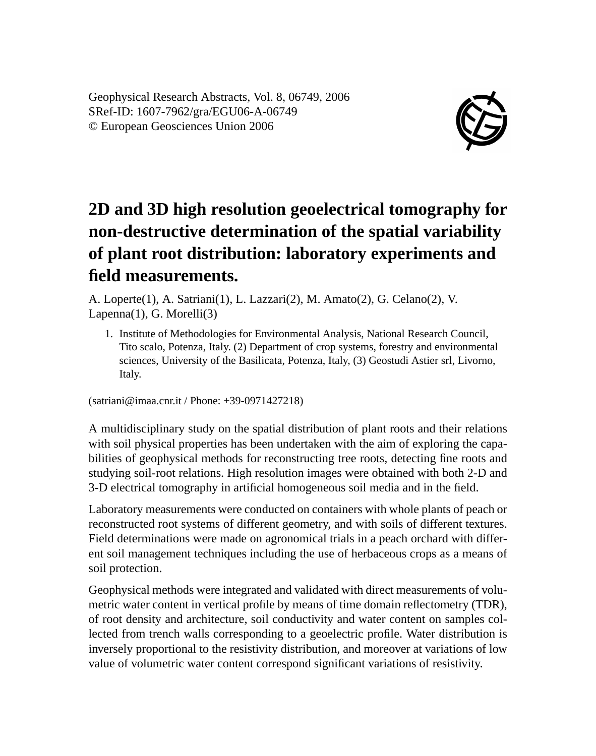Geophysical Research Abstracts, Vol. 8, 06749, 2006 SRef-ID: 1607-7962/gra/EGU06-A-06749 © European Geosciences Union 2006



## **2D and 3D high resolution geoelectrical tomography for non-destructive determination of the spatial variability of plant root distribution: laboratory experiments and field measurements.**

A. Loperte(1), A. Satriani(1), L. Lazzari(2), M. Amato(2), G. Celano(2), V. Lapenna(1), G. Morelli(3)

1. Institute of Methodologies for Environmental Analysis, National Research Council, Tito scalo, Potenza, Italy. (2) Department of crop systems, forestry and environmental sciences, University of the Basilicata, Potenza, Italy, (3) Geostudi Astier srl, Livorno, Italy.

(satriani@imaa.cnr.it / Phone: +39-0971427218)

A multidisciplinary study on the spatial distribution of plant roots and their relations with soil physical properties has been undertaken with the aim of exploring the capabilities of geophysical methods for reconstructing tree roots, detecting fine roots and studying soil-root relations. High resolution images were obtained with both 2-D and 3-D electrical tomography in artificial homogeneous soil media and in the field.

Laboratory measurements were conducted on containers with whole plants of peach or reconstructed root systems of different geometry, and with soils of different textures. Field determinations were made on agronomical trials in a peach orchard with different soil management techniques including the use of herbaceous crops as a means of soil protection.

Geophysical methods were integrated and validated with direct measurements of volumetric water content in vertical profile by means of time domain reflectometry (TDR), of root density and architecture, soil conductivity and water content on samples collected from trench walls corresponding to a geoelectric profile. Water distribution is inversely proportional to the resistivity distribution, and moreover at variations of low value of volumetric water content correspond significant variations of resistivity.